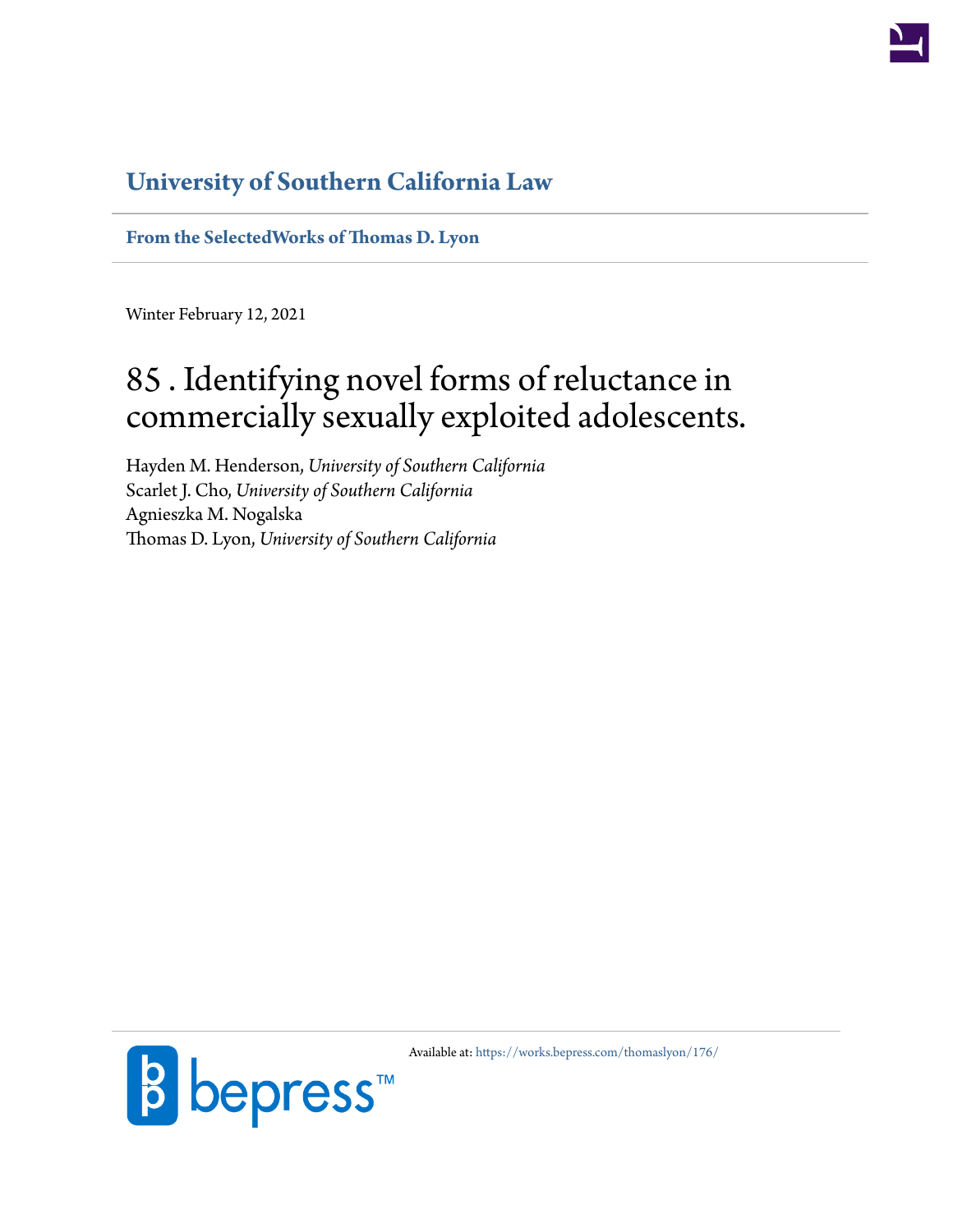

## **[University of Southern California Law](http://gould.usc.edu/)**

**[From the SelectedWorks of Thomas D. Lyon](https://works.bepress.com/thomaslyon/)**

Winter February 12, 2021

# 85 . Identifying novel forms of reluctance in commercially sexually exploited adolescents.

Hayden M. Henderson, *University of Southern California* Scarlet J. Cho, *University of Southern California* Agnieszka M. Nogalska Thomas D. Lyon, *University of Southern California*



Available at: <https://works.bepress.com/thomaslyon/176/>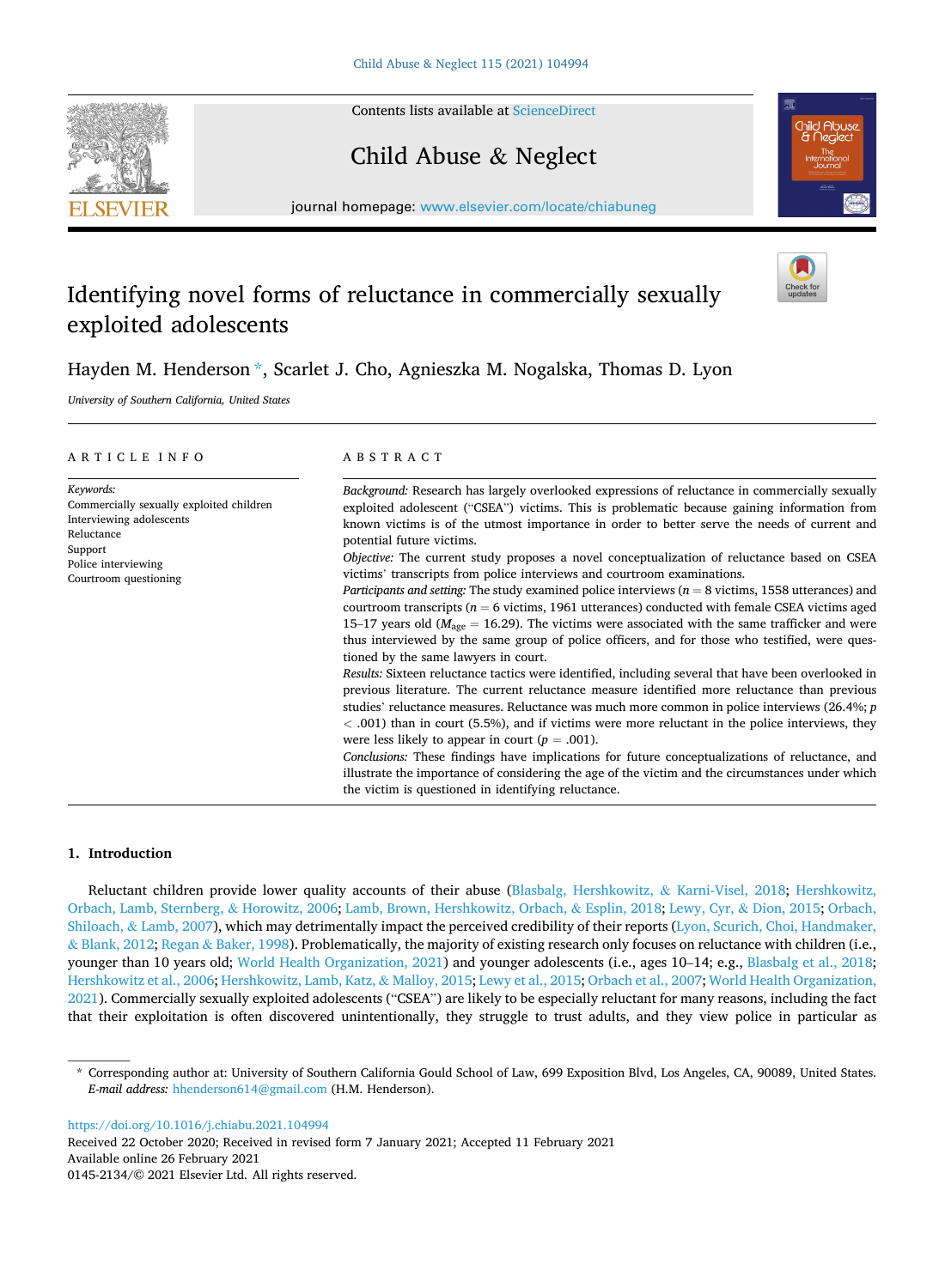Contents lists available at [ScienceDirect](www.sciencedirect.com/science/journal/01452134)

### Child Abuse & Neglect

journal homepage: [www.elsevier.com/locate/chiabuneg](https://www.elsevier.com/locate/chiabuneg)

### Identifying novel forms of reluctance in commercially sexually exploited adolescents

### Hayden M. Henderson \*, Scarlet J. Cho, Agnieszka M. Nogalska, Thomas D. Lyon

*University of Southern California, United States* 

| ARTICLE INFO                                                                                                                                               | A B S T R A C T                                                                                                                                                                                                                                                                                                                                                                                                                                                                                                                                                                                                                                                                                                                                                                                                                                                                                                                                                                                          |
|------------------------------------------------------------------------------------------------------------------------------------------------------------|----------------------------------------------------------------------------------------------------------------------------------------------------------------------------------------------------------------------------------------------------------------------------------------------------------------------------------------------------------------------------------------------------------------------------------------------------------------------------------------------------------------------------------------------------------------------------------------------------------------------------------------------------------------------------------------------------------------------------------------------------------------------------------------------------------------------------------------------------------------------------------------------------------------------------------------------------------------------------------------------------------|
| Keywords:<br>Commercially sexually exploited children<br>Interviewing adolescents<br>Reluctance<br>Support<br>Police interviewing<br>Courtroom questioning | Background: Research has largely overlooked expressions of reluctance in commercially sexually<br>exploited adolescent ("CSEA") victims. This is problematic because gaining information from<br>known victims is of the utmost importance in order to better serve the needs of current and<br>potential future victims.<br><i>Objective:</i> The current study proposes a novel conceptualization of reluctance based on CSEA<br>victims' transcripts from police interviews and courtroom examinations.<br><i>Participants and setting:</i> The study examined police interviews $(n = 8 \text{ victims}, 1558 \text{ utterances})$ and<br>courtroom transcripts ( $n = 6$ victims, 1961 utterances) conducted with female CSEA victims aged<br>15–17 years old ( $M_{\text{age}} = 16.29$ ). The victims were associated with the same trafficker and were<br>thus interviewed by the same group of police officers, and for those who testified, were ques-<br>tioned by the same lawyers in court. |
|                                                                                                                                                            | Results: Sixteen reluctance tactics were identified, including several that have been overlooked in<br>previous literature. The current reluctance measure identified more reluctance than previous<br>studies' reluctance measures. Reluctance was much more common in police interviews $(26.4\%; p)$<br>$<$ 0.01) than in court (5.5%), and if victims were more reluctant in the police interviews, they<br>were less likely to appear in court ( $p = .001$ ).<br>Conclusions: These findings have implications for future conceptualizations of reluctance, and<br>illustrate the importance of considering the age of the victim and the circumstances under which<br>the victim is questioned in identifying reluctance.                                                                                                                                                                                                                                                                         |

#### **1. Introduction**

Reluctant children provide lower quality accounts of their abuse [\(Blasbalg, Hershkowitz,](#page-8-0) & Karni-Visel, 2018; [Hershkowitz,](#page-9-0) [Orbach, Lamb, Sternberg,](#page-9-0) & Horowitz, 2006; [Lamb, Brown, Hershkowitz, Orbach,](#page-9-0) & Esplin, 2018; [Lewy, Cyr,](#page-9-0) & Dion, 2015; [Orbach,](#page-9-0) Shiloach, & [Lamb, 2007\)](#page-9-0), which may detrimentally impact the perceived credibility of their reports ([Lyon, Scurich, Choi, Handmaker,](#page-9-0) & [Blank, 2012;](#page-9-0) Regan & [Baker, 1998\)](#page-9-0). Problematically, the majority of existing research only focuses on reluctance with children (i.e., younger than 10 years old; [World Health Organization, 2021\)](#page-9-0) and younger adolescents (i.e., ages 10–14; e.g., [Blasbalg et al., 2018](#page-8-0); [Hershkowitz et al., 2006; Hershkowitz, Lamb, Katz,](#page-9-0) & Malloy, 2015; [Lewy et al., 2015](#page-9-0); [Orbach et al., 2007; World Health Organization,](#page-9-0) [2021\)](#page-9-0). Commercially sexually exploited adolescents ("CSEA") are likely to be especially reluctant for many reasons, including the fact that their exploitation is often discovered unintentionally, they struggle to trust adults, and they view police in particular as

<https://doi.org/10.1016/j.chiabu.2021.104994>

Available online 26 February 2021 0145-2134/© 2021 Elsevier Ltd. All rights reserved. Received 22 October 2020; Received in revised form 7 January 2021; Accepted 11 February 2021







<sup>\*</sup> Corresponding author at: University of Southern California Gould School of Law, 699 Exposition Blvd, Los Angeles, CA, 90089, United States. *E-mail address:* [hhenderson614@gmail.com](mailto:hhenderson614@gmail.com) (H.M. Henderson).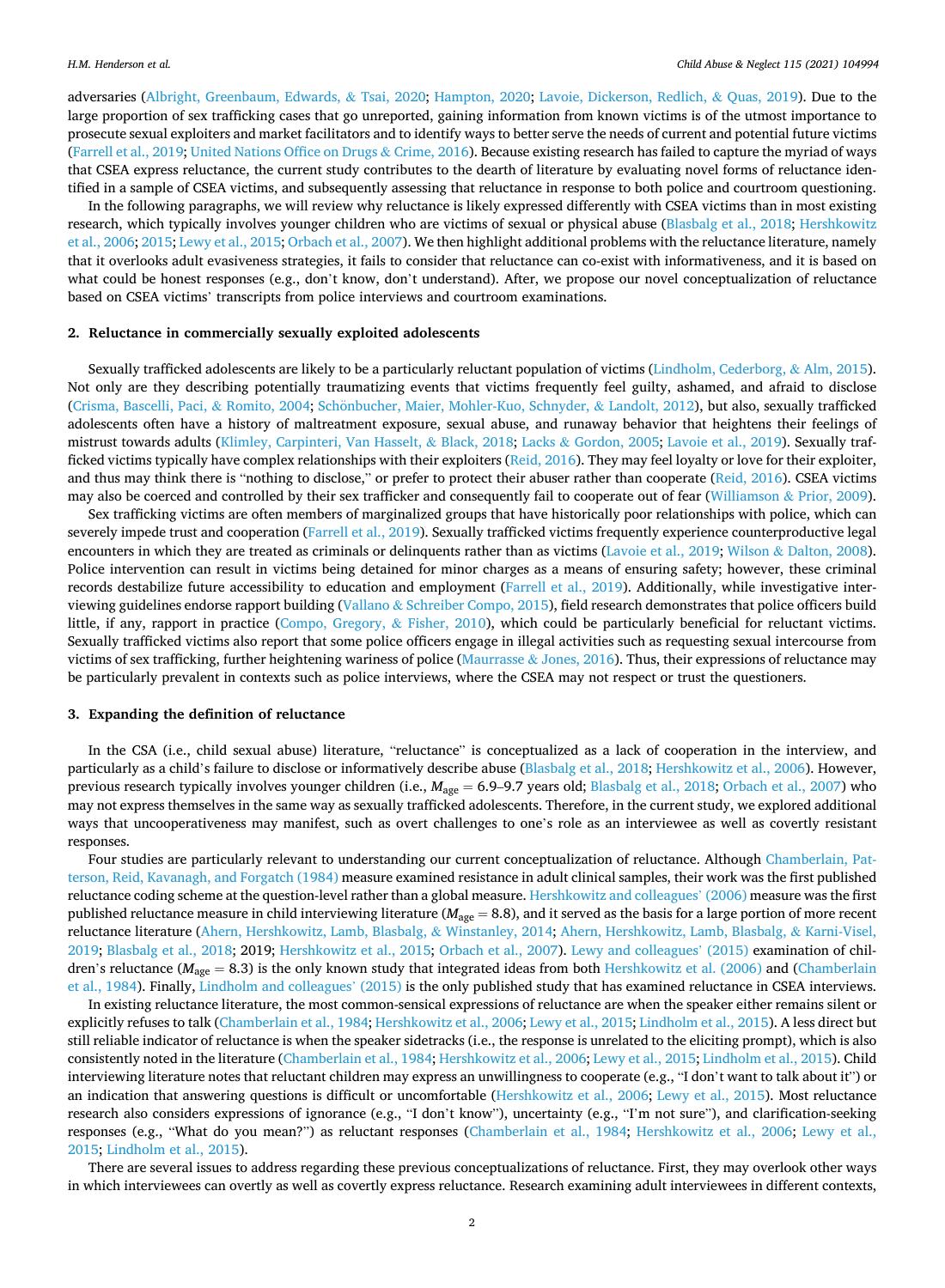adversaries [\(Albright, Greenbaum, Edwards,](#page-8-0) & Tsai, 2020; [Hampton, 2020;](#page-9-0) [Lavoie, Dickerson, Redlich,](#page-9-0) & Quas, 2019). Due to the large proportion of sex trafficking cases that go unreported, gaining information from known victims is of the utmost importance to prosecute sexual exploiters and market facilitators and to identify ways to better serve the needs of current and potential future victims [\(Farrell et al., 2019;](#page-8-0) [United Nations Office on Drugs](#page-9-0) & Crime, 2016). Because existing research has failed to capture the myriad of ways that CSEA express reluctance, the current study contributes to the dearth of literature by evaluating novel forms of reluctance identified in a sample of CSEA victims, and subsequently assessing that reluctance in response to both police and courtroom questioning.

In the following paragraphs, we will review why reluctance is likely expressed differently with CSEA victims than in most existing research, which typically involves younger children who are victims of sexual or physical abuse [\(Blasbalg et al., 2018](#page-8-0); [Hershkowitz](#page-9-0) [et al., 2006; 2015](#page-9-0); [Lewy et al., 2015](#page-9-0); [Orbach et al., 2007\)](#page-9-0). We then highlight additional problems with the reluctance literature, namely that it overlooks adult evasiveness strategies, it fails to consider that reluctance can co-exist with informativeness, and it is based on what could be honest responses (e.g., don't know, don't understand). After, we propose our novel conceptualization of reluctance based on CSEA victims' transcripts from police interviews and courtroom examinations.

#### **2. Reluctance in commercially sexually exploited adolescents**

Sexually trafficked adolescents are likely to be a particularly reluctant population of victims ([Lindholm, Cederborg,](#page-9-0) & Alm, 2015). Not only are they describing potentially traumatizing events that victims frequently feel guilty, ashamed, and afraid to disclose [\(Crisma, Bascelli, Paci,](#page-8-0) & Romito, 2004; Schönbucher, [Maier, Mohler-Kuo, Schnyder,](#page-9-0) & Landolt, 2012), but also, sexually trafficked adolescents often have a history of maltreatment exposure, sexual abuse, and runaway behavior that heightens their feelings of mistrust towards adults [\(Klimley, Carpinteri, Van Hasselt,](#page-9-0) & Black, 2018; Lacks & [Gordon, 2005](#page-9-0); [Lavoie et al., 2019\)](#page-9-0). Sexually trafficked victims typically have complex relationships with their exploiters ([Reid, 2016\)](#page-9-0). They may feel loyalty or love for their exploiter, and thus may think there is "nothing to disclose," or prefer to protect their abuser rather than cooperate [\(Reid, 2016\)](#page-9-0). CSEA victims may also be coerced and controlled by their sex trafficker and consequently fail to cooperate out of fear [\(Williamson](#page-9-0) & Prior, 2009).

Sex trafficking victims are often members of marginalized groups that have historically poor relationships with police, which can severely impede trust and cooperation ([Farrell et al., 2019\)](#page-8-0). Sexually trafficked victims frequently experience counterproductive legal encounters in which they are treated as criminals or delinquents rather than as victims ([Lavoie et al., 2019;](#page-9-0) Wilson & [Dalton, 2008](#page-9-0)). Police intervention can result in victims being detained for minor charges as a means of ensuring safety; however, these criminal records destabilize future accessibility to education and employment [\(Farrell et al., 2019\)](#page-8-0). Additionally, while investigative interviewing guidelines endorse rapport building (Vallano & [Schreiber Compo, 2015](#page-9-0)), field research demonstrates that police officers build little, if any, rapport in practice [\(Compo, Gregory,](#page-8-0) & Fisher, 2010), which could be particularly beneficial for reluctant victims. Sexually trafficked victims also report that some police officers engage in illegal activities such as requesting sexual intercourse from victims of sex trafficking, further heightening wariness of police (Maurrasse & [Jones, 2016](#page-9-0)). Thus, their expressions of reluctance may be particularly prevalent in contexts such as police interviews, where the CSEA may not respect or trust the questioners.

#### **3. Expanding the definition of reluctance**

In the CSA (i.e., child sexual abuse) literature, "reluctance" is conceptualized as a lack of cooperation in the interview, and particularly as a child's failure to disclose or informatively describe abuse ([Blasbalg et al., 2018;](#page-8-0) [Hershkowitz et al., 2006](#page-9-0)). However, previous research typically involves younger children (i.e.,  $M_{\text{age}} = 6.9$ –9.7 years old; [Blasbalg et al., 2018](#page-8-0); [Orbach et al., 2007\)](#page-9-0) who may not express themselves in the same way as sexually trafficked adolescents. Therefore, in the current study, we explored additional ways that uncooperativeness may manifest, such as overt challenges to one's role as an interviewee as well as covertly resistant responses.

Four studies are particularly relevant to understanding our current conceptualization of reluctance. Although [Chamberlain, Pat](#page-8-0)[terson, Reid, Kavanagh, and Forgatch \(1984\)](#page-8-0) measure examined resistance in adult clinical samples, their work was the first published reluctance coding scheme at the question-level rather than a global measure. [Hershkowitz and colleagues](#page-9-0)' (2006) measure was the first published reluctance measure in child interviewing literature (*M*age = 8.8), and it served as the basis for a large portion of more recent reluctance literature ([Ahern, Hershkowitz, Lamb, Blasbalg,](#page-8-0) & Winstanley, 2014; [Ahern, Hershkowitz, Lamb, Blasbalg,](#page-8-0) & Karni-Visel, [2019;](#page-8-0) [Blasbalg et al., 2018;](#page-8-0) 2019; [Hershkowitz et al., 2015](#page-9-0); [Orbach et al., 2007\)](#page-9-0). [Lewy and colleagues](#page-9-0)' (2015) examination of children's reluctance ( $M_{\text{age}} = 8.3$ ) is the only known study that integrated ideas from both [Hershkowitz et al. \(2006\)](#page-9-0) and [\(Chamberlain](#page-8-0) [et al., 1984\)](#page-8-0). Finally, [Lindholm and colleagues](#page-9-0)' (2015) is the only published study that has examined reluctance in CSEA interviews.

In existing reluctance literature, the most common-sensical expressions of reluctance are when the speaker either remains silent or explicitly refuses to talk [\(Chamberlain et al., 1984](#page-8-0); [Hershkowitz et al., 2006](#page-9-0); [Lewy et al., 2015; Lindholm et al., 2015](#page-9-0)). A less direct but still reliable indicator of reluctance is when the speaker sidetracks (i.e., the response is unrelated to the eliciting prompt), which is also consistently noted in the literature [\(Chamberlain et al., 1984](#page-8-0); [Hershkowitz et al., 2006](#page-9-0); [Lewy et al., 2015](#page-9-0); [Lindholm et al., 2015](#page-9-0)). Child interviewing literature notes that reluctant children may express an unwillingness to cooperate (e.g., "I don't want to talk about it") or an indication that answering questions is difficult or uncomfortable [\(Hershkowitz et al., 2006;](#page-9-0) [Lewy et al., 2015\)](#page-9-0). Most reluctance research also considers expressions of ignorance (e.g., "I don't know"), uncertainty (e.g., "I'm not sure"), and clarification-seeking responses (e.g., "What do you mean?") as reluctant responses [\(Chamberlain et al., 1984](#page-8-0); [Hershkowitz et al., 2006;](#page-9-0) [Lewy et al.,](#page-9-0) [2015;](#page-9-0) [Lindholm et al., 2015\)](#page-9-0).

There are several issues to address regarding these previous conceptualizations of reluctance. First, they may overlook other ways in which interviewees can overtly as well as covertly express reluctance. Research examining adult interviewees in different contexts,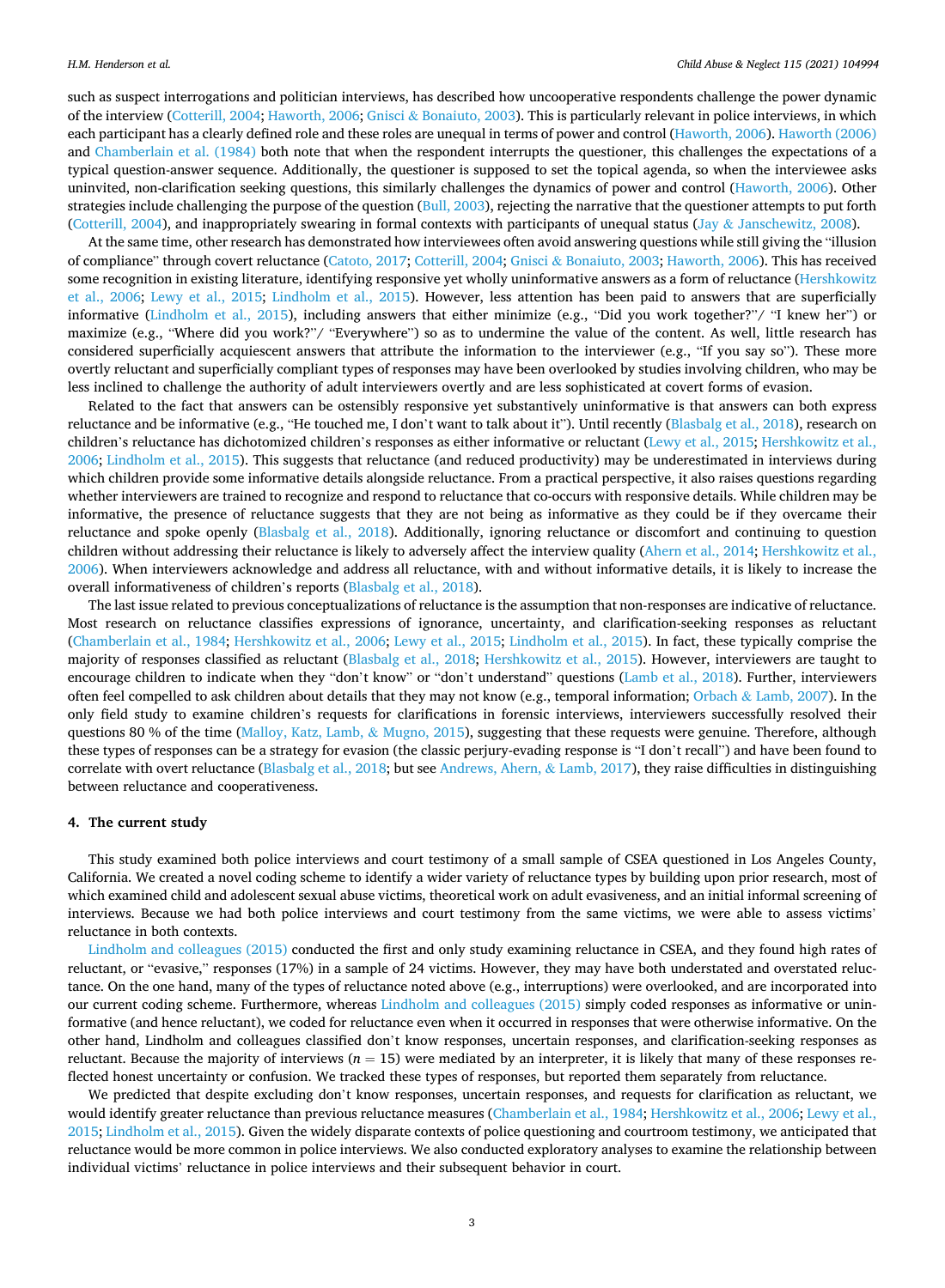such as suspect interrogations and politician interviews, has described how uncooperative respondents challenge the power dynamic of the interview [\(Cotterill, 2004](#page-8-0); [Haworth, 2006](#page-9-0); Gnisci & [Bonaiuto, 2003](#page-9-0)). This is particularly relevant in police interviews, in which each participant has a clearly defined role and these roles are unequal in terms of power and control ([Haworth, 2006\)](#page-9-0). [Haworth \(2006\)](#page-9-0) and [Chamberlain et al. \(1984\)](#page-8-0) both note that when the respondent interrupts the questioner, this challenges the expectations of a typical question-answer sequence. Additionally, the questioner is supposed to set the topical agenda, so when the interviewee asks uninvited, non-clarification seeking questions, this similarly challenges the dynamics of power and control ([Haworth, 2006](#page-9-0)). Other strategies include challenging the purpose of the question [\(Bull, 2003](#page-8-0)), rejecting the narrative that the questioner attempts to put forth [\(Cotterill, 2004](#page-8-0)), and inappropriately swearing in formal contexts with participants of unequal status (Jay & [Janschewitz, 2008\)](#page-9-0).

At the same time, other research has demonstrated how interviewees often avoid answering questions while still giving the "illusion of compliance" through covert reluctance [\(Catoto, 2017; Cotterill, 2004](#page-8-0); Gnisci & [Bonaiuto, 2003](#page-9-0); [Haworth, 2006\)](#page-9-0). This has received some recognition in existing literature, identifying responsive yet wholly uninformative answers as a form of reluctance ([Hershkowitz](#page-9-0) [et al., 2006](#page-9-0); [Lewy et al., 2015](#page-9-0); [Lindholm et al., 2015](#page-9-0)). However, less attention has been paid to answers that are superficially informative ([Lindholm et al., 2015](#page-9-0)), including answers that either minimize (e.g., "Did you work together?"/ "I knew her") or maximize (e.g., "Where did you work?"/ "Everywhere") so as to undermine the value of the content. As well, little research has considered superficially acquiescent answers that attribute the information to the interviewer (e.g., "If you say so"). These more overtly reluctant and superficially compliant types of responses may have been overlooked by studies involving children, who may be less inclined to challenge the authority of adult interviewers overtly and are less sophisticated at covert forms of evasion.

Related to the fact that answers can be ostensibly responsive yet substantively uninformative is that answers can both express reluctance and be informative (e.g., "He touched me, I don't want to talk about it"). Until recently ([Blasbalg et al., 2018\)](#page-8-0), research on children's reluctance has dichotomized children's responses as either informative or reluctant ([Lewy et al., 2015; Hershkowitz et al.,](#page-9-0) [2006;](#page-9-0) [Lindholm et al., 2015](#page-9-0)). This suggests that reluctance (and reduced productivity) may be underestimated in interviews during which children provide some informative details alongside reluctance. From a practical perspective, it also raises questions regarding whether interviewers are trained to recognize and respond to reluctance that co-occurs with responsive details. While children may be informative, the presence of reluctance suggests that they are not being as informative as they could be if they overcame their reluctance and spoke openly [\(Blasbalg et al., 2018](#page-8-0)). Additionally, ignoring reluctance or discomfort and continuing to question children without addressing their reluctance is likely to adversely affect the interview quality ([Ahern et al., 2014;](#page-8-0) [Hershkowitz et al.,](#page-9-0) [2006\)](#page-9-0). When interviewers acknowledge and address all reluctance, with and without informative details, it is likely to increase the overall informativeness of children's reports ([Blasbalg et al., 2018\)](#page-8-0).

The last issue related to previous conceptualizations of reluctance is the assumption that non-responses are indicative of reluctance. Most research on reluctance classifies expressions of ignorance, uncertainty, and clarification-seeking responses as reluctant [\(Chamberlain et al., 1984](#page-8-0); [Hershkowitz et al., 2006](#page-9-0); [Lewy et al., 2015;](#page-9-0) [Lindholm et al., 2015](#page-9-0)). In fact, these typically comprise the majority of responses classified as reluctant ([Blasbalg et al., 2018](#page-8-0); [Hershkowitz et al., 2015](#page-9-0)). However, interviewers are taught to encourage children to indicate when they "don't know" or "don't understand" questions ([Lamb et al., 2018\)](#page-9-0). Further, interviewers often feel compelled to ask children about details that they may not know (e.g., temporal information; Orbach & [Lamb, 2007](#page-9-0)). In the only field study to examine children's requests for clarifications in forensic interviews, interviewers successfully resolved their questions 80 % of the time [\(Malloy, Katz, Lamb,](#page-9-0) & Mugno, 2015), suggesting that these requests were genuine. Therefore, although these types of responses can be a strategy for evasion (the classic perjury-evading response is "I don't recall") and have been found to correlate with overt reluctance ([Blasbalg et al., 2018;](#page-8-0) but see [Andrews, Ahern,](#page-8-0) & Lamb, 2017), they raise difficulties in distinguishing between reluctance and cooperativeness.

#### **4. The current study**

This study examined both police interviews and court testimony of a small sample of CSEA questioned in Los Angeles County, California. We created a novel coding scheme to identify a wider variety of reluctance types by building upon prior research, most of which examined child and adolescent sexual abuse victims, theoretical work on adult evasiveness, and an initial informal screening of interviews. Because we had both police interviews and court testimony from the same victims, we were able to assess victims' reluctance in both contexts.

[Lindholm and colleagues \(2015\)](#page-9-0) conducted the first and only study examining reluctance in CSEA, and they found high rates of reluctant, or "evasive," responses (17%) in a sample of 24 victims. However, they may have both understated and overstated reluctance. On the one hand, many of the types of reluctance noted above (e.g., interruptions) were overlooked, and are incorporated into our current coding scheme. Furthermore, whereas [Lindholm and colleagues \(2015\)](#page-9-0) simply coded responses as informative or uninformative (and hence reluctant), we coded for reluctance even when it occurred in responses that were otherwise informative. On the other hand, Lindholm and colleagues classified don't know responses, uncertain responses, and clarification-seeking responses as reluctant. Because the majority of interviews ( $n = 15$ ) were mediated by an interpreter, it is likely that many of these responses reflected honest uncertainty or confusion. We tracked these types of responses, but reported them separately from reluctance.

We predicted that despite excluding don't know responses, uncertain responses, and requests for clarification as reluctant, we would identify greater reluctance than previous reluctance measures [\(Chamberlain et al., 1984;](#page-8-0) [Hershkowitz et al., 2006; Lewy et al.,](#page-9-0) [2015; Lindholm et al., 2015](#page-9-0)). Given the widely disparate contexts of police questioning and courtroom testimony, we anticipated that reluctance would be more common in police interviews. We also conducted exploratory analyses to examine the relationship between individual victims' reluctance in police interviews and their subsequent behavior in court.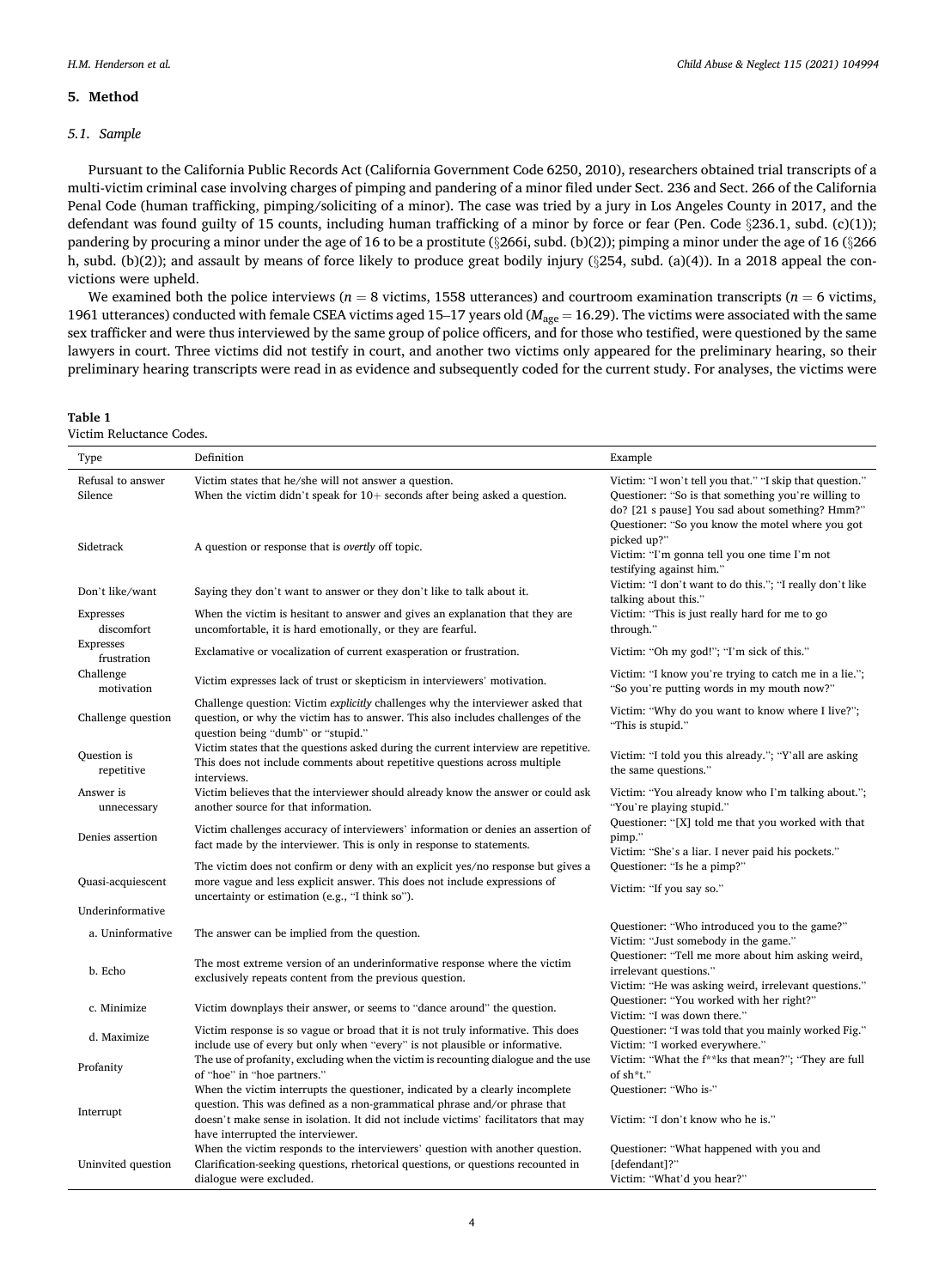#### <span id="page-4-0"></span>**5. Method**

#### *5.1. Sample*

Pursuant to the California Public Records Act (California Government Code 6250, 2010), researchers obtained trial transcripts of a multi-victim criminal case involving charges of pimping and pandering of a minor filed under Sect. 236 and Sect. 266 of the California Penal Code (human trafficking, pimping/soliciting of a minor). The case was tried by a jury in Los Angeles County in 2017, and the defendant was found guilty of 15 counts, including human trafficking of a minor by force or fear (Pen. Code §236.1, subd. (c)(1)); pandering by procuring a minor under the age of 16 to be a prostitute (§266i, subd. (b)(2)); pimping a minor under the age of 16 (§266 h, subd. (b)(2)); and assault by means of force likely to produce great bodily injury (§254, subd. (a)(4)). In a 2018 appeal the convictions were upheld.

We examined both the police interviews ( $n = 8$  victims, 1558 utterances) and courtroom examination transcripts ( $n = 6$  victims, 1961 utterances) conducted with female CSEA victims aged 15–17 years old (*M*age = 16.29). The victims were associated with the same sex trafficker and were thus interviewed by the same group of police officers, and for those who testified, were questioned by the same lawyers in court. Three victims did not testify in court, and another two victims only appeared for the preliminary hearing, so their preliminary hearing transcripts were read in as evidence and subsequently coded for the current study. For analyses, the victims were

| Table |  |  |
|-------|--|--|
|       |  |  |

| Type                            | Definition                                                                                                                                                                                                                                      | Example                                                                                                                                                                                                                |  |  |
|---------------------------------|-------------------------------------------------------------------------------------------------------------------------------------------------------------------------------------------------------------------------------------------------|------------------------------------------------------------------------------------------------------------------------------------------------------------------------------------------------------------------------|--|--|
| Refusal to answer<br>Silence    | Victim states that he/she will not answer a question.<br>When the victim didn't speak for $10+$ seconds after being asked a question.                                                                                                           | Victim: "I won't tell you that." "I skip that question."<br>Questioner: "So is that something you're willing to<br>do? [21 s pause] You sad about something? Hmm?"<br>Questioner: "So you know the motel where you got |  |  |
| Sidetrack                       | A question or response that is <i>overtly</i> off topic.                                                                                                                                                                                        | picked up?"<br>Victim: "I'm gonna tell you one time I'm not<br>testifying against him."                                                                                                                                |  |  |
| Don't like/want                 | Saying they don't want to answer or they don't like to talk about it.                                                                                                                                                                           | Victim: "I don't want to do this."; "I really don't like<br>talking about this."                                                                                                                                       |  |  |
| <b>Expresses</b><br>discomfort  | When the victim is hesitant to answer and gives an explanation that they are<br>uncomfortable, it is hard emotionally, or they are fearful.                                                                                                     | Victim: "This is just really hard for me to go<br>through."                                                                                                                                                            |  |  |
| <b>Expresses</b><br>frustration | Exclamative or vocalization of current exasperation or frustration.                                                                                                                                                                             | Victim: "Oh my god!"; "I'm sick of this."                                                                                                                                                                              |  |  |
| Challenge<br>motivation         | Victim expresses lack of trust or skepticism in interviewers' motivation.                                                                                                                                                                       | Victim: "I know you're trying to catch me in a lie.";<br>"So you're putting words in my mouth now?"                                                                                                                    |  |  |
| Challenge question              | Challenge question: Victim <i>explicitly</i> challenges why the interviewer asked that<br>question, or why the victim has to answer. This also includes challenges of the<br>question being "dumb" or "stupid."                                 | Victim: "Why do you want to know where I live?";<br>"This is stupid."                                                                                                                                                  |  |  |
| Question is<br>repetitive       | Victim states that the questions asked during the current interview are repetitive.<br>This does not include comments about repetitive questions across multiple<br>interviews.                                                                 | Victim: "I told you this already."; "Y'all are asking<br>the same questions."                                                                                                                                          |  |  |
| Answer is<br>unnecessary        | Victim believes that the interviewer should already know the answer or could ask<br>another source for that information.                                                                                                                        | Victim: "You already know who I'm talking about.";<br>"You're playing stupid."                                                                                                                                         |  |  |
| Denies assertion                | Victim challenges accuracy of interviewers' information or denies an assertion of<br>fact made by the interviewer. This is only in response to statements.                                                                                      | Questioner: "[X] told me that you worked with that<br>pimp."<br>Victim: "She's a liar. I never paid his pockets."<br>Questioner: "Is he a pimp?"<br>Victim: "If you say so."                                           |  |  |
| Quasi-acquiescent               | The victim does not confirm or deny with an explicit yes/no response but gives a<br>more vague and less explicit answer. This does not include expressions of<br>uncertainty or estimation (e.g., "I think so").                                |                                                                                                                                                                                                                        |  |  |
| Underinformative                |                                                                                                                                                                                                                                                 |                                                                                                                                                                                                                        |  |  |
| a. Uninformative                | The answer can be implied from the question.                                                                                                                                                                                                    | Questioner: "Who introduced you to the game?"<br>Victim: "Just somebody in the game."                                                                                                                                  |  |  |
| b. Echo                         | The most extreme version of an underinformative response where the victim<br>exclusively repeats content from the previous question.                                                                                                            | Questioner: "Tell me more about him asking weird,<br>irrelevant questions."<br>Victim: "He was asking weird, irrelevant questions."                                                                                    |  |  |
| c. Minimize                     | Victim downplays their answer, or seems to "dance around" the question.                                                                                                                                                                         | Questioner: "You worked with her right?"<br>Victim: "I was down there."                                                                                                                                                |  |  |
| d. Maximize                     | Victim response is so vague or broad that it is not truly informative. This does<br>include use of every but only when "every" is not plausible or informative.                                                                                 | Questioner: "I was told that you mainly worked Fig."<br>Victim: "I worked everywhere."                                                                                                                                 |  |  |
| Profanity                       | The use of profanity, excluding when the victim is recounting dialogue and the use<br>of "hoe" in "hoe partners."                                                                                                                               | Victim: "What the f**ks that mean?"; "They are full<br>of sh*t."                                                                                                                                                       |  |  |
| Interrupt                       | When the victim interrupts the questioner, indicated by a clearly incomplete<br>question. This was defined as a non-grammatical phrase and/or phrase that<br>doesn't make sense in isolation. It did not include victims' facilitators that may | Questioner: "Who is-"<br>Victim: "I don't know who he is."                                                                                                                                                             |  |  |
| Uninvited question              | have interrupted the interviewer.<br>When the victim responds to the interviewers' question with another question.<br>Clarification-seeking questions, rhetorical questions, or questions recounted in<br>dialogue were excluded.               | Questioner: "What happened with you and<br>[defendant]?"<br>Victim: "What'd you hear?"                                                                                                                                 |  |  |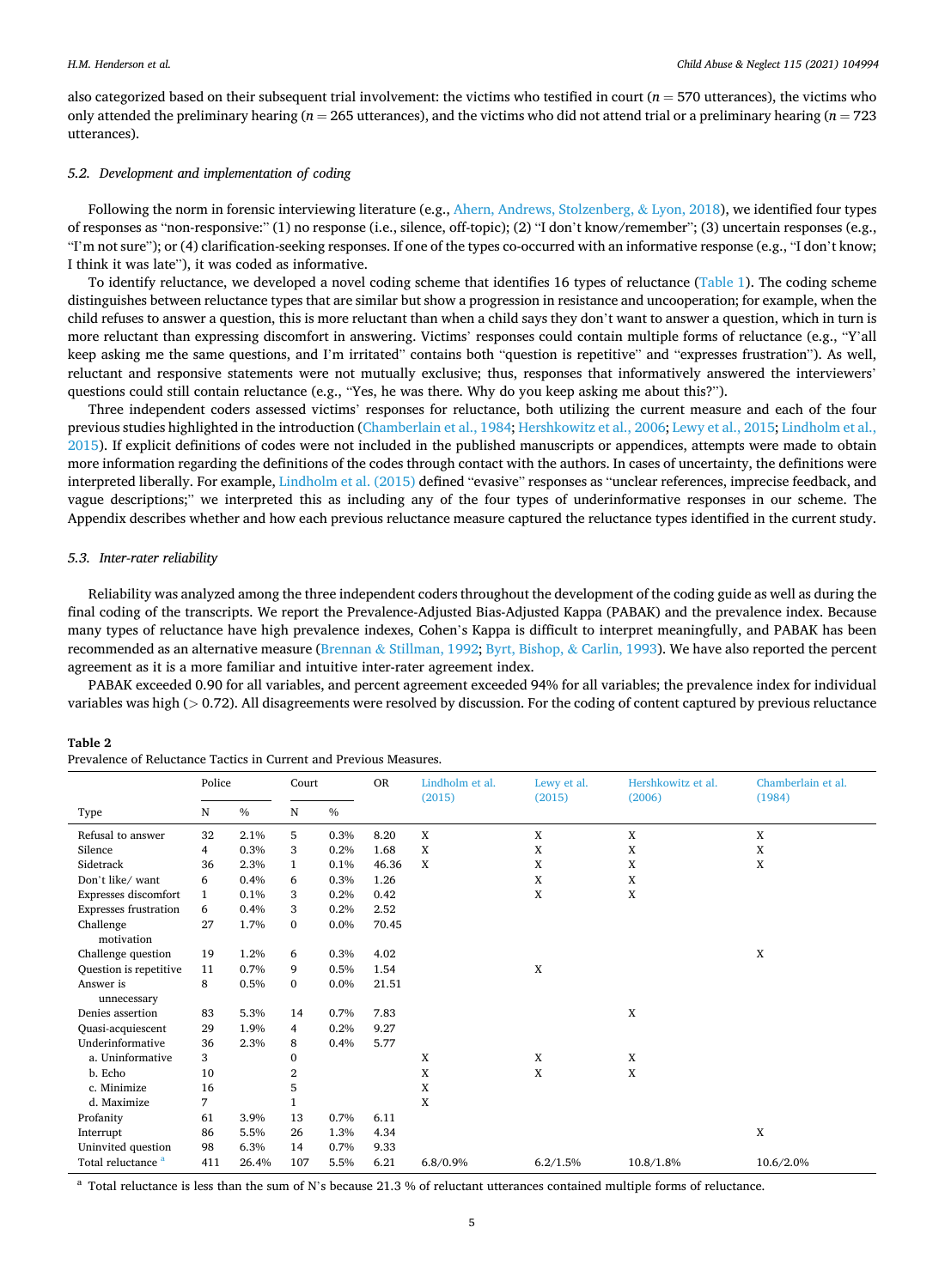<span id="page-5-0"></span>also categorized based on their subsequent trial involvement: the victims who testified in court (*n* = 570 utterances), the victims who only attended the preliminary hearing (*n* = 265 utterances), and the victims who did not attend trial or a preliminary hearing (*n* = 723 utterances).

#### *5.2. Development and implementation of coding*

Following the norm in forensic interviewing literature (e.g., [Ahern, Andrews, Stolzenberg,](#page-8-0) & Lyon, 2018), we identified four types of responses as "non-responsive:" (1) no response (i.e., silence, off-topic); (2) "I don't know/remember"; (3) uncertain responses (e.g., "I'm not sure"); or (4) clarification-seeking responses. If one of the types co-occurred with an informative response (e.g., "I don't know; I think it was late"), it was coded as informative.

To identify reluctance, we developed a novel coding scheme that identifies 16 types of reluctance [\(Table 1\)](#page-4-0). The coding scheme distinguishes between reluctance types that are similar but show a progression in resistance and uncooperation; for example, when the child refuses to answer a question, this is more reluctant than when a child says they don't want to answer a question, which in turn is more reluctant than expressing discomfort in answering. Victims' responses could contain multiple forms of reluctance (e.g., "Y'all keep asking me the same questions, and I'm irritated" contains both "question is repetitive" and "expresses frustration"). As well, reluctant and responsive statements were not mutually exclusive; thus, responses that informatively answered the interviewers' questions could still contain reluctance (e.g., "Yes, he was there. Why do you keep asking me about this?").

Three independent coders assessed victims' responses for reluctance, both utilizing the current measure and each of the four previous studies highlighted in the introduction [\(Chamberlain et al., 1984;](#page-8-0) [Hershkowitz et al., 2006; Lewy et al., 2015; Lindholm et al.,](#page-9-0) [2015\)](#page-9-0). If explicit definitions of codes were not included in the published manuscripts or appendices, attempts were made to obtain more information regarding the definitions of the codes through contact with the authors. In cases of uncertainty, the definitions were interpreted liberally. For example, [Lindholm et al. \(2015\)](#page-9-0) defined "evasive" responses as "unclear references, imprecise feedback, and vague descriptions;" we interpreted this as including any of the four types of underinformative responses in our scheme. The Appendix describes whether and how each previous reluctance measure captured the reluctance types identified in the current study.

#### *5.3. Inter-rater reliability*

Reliability was analyzed among the three independent coders throughout the development of the coding guide as well as during the final coding of the transcripts. We report the Prevalence-Adjusted Bias-Adjusted Kappa (PABAK) and the prevalence index. Because many types of reluctance have high prevalence indexes, Cohen's Kappa is difficult to interpret meaningfully, and PABAK has been recommended as an alternative measure (Brennan & [Stillman, 1992; Byrt, Bishop,](#page-8-0) & Carlin, 1993). We have also reported the percent agreement as it is a more familiar and intuitive inter-rater agreement index.

PABAK exceeded 0.90 for all variables, and percent agreement exceeded 94% for all variables; the prevalence index for individual variables was high (*>* 0.72). All disagreements were resolved by discussion. For the coding of content captured by previous reluctance

#### **Table 2**

| Prevalence of Reluctance Tactics in Current and Previous Measures. |  |  |
|--------------------------------------------------------------------|--|--|
|                                                                    |  |  |

|                               | Police |       |              |               | Court |             | <b>OR</b> | Lindholm et al.<br>(2015) | Lewy et al.<br>(2015) | Hershkowitz et al.<br>(2006) | Chamberlain et al.<br>(1984) |
|-------------------------------|--------|-------|--------------|---------------|-------|-------------|-----------|---------------------------|-----------------------|------------------------------|------------------------------|
| Type                          | N      | $\%$  | N            | $\frac{0}{0}$ |       |             |           |                           |                       |                              |                              |
| Refusal to answer             | 32     | 2.1%  | 5            | 0.3%          | 8.20  | $\mathbf X$ | X         | X                         | X                     |                              |                              |
| Silence                       | 4      | 0.3%  | 3            | 0.2%          | 1.68  | X           | X         | X                         | X                     |                              |                              |
| Sidetrack                     | 36     | 2.3%  | $\mathbf{1}$ | 0.1%          | 46.36 | X           | X         | X                         | X                     |                              |                              |
| Don't like/want               | 6      | 0.4%  | 6            | 0.3%          | 1.26  |             | X         | X                         |                       |                              |                              |
| Expresses discomfort          | 1      | 0.1%  | 3            | 0.2%          | 0.42  |             | X         | X                         |                       |                              |                              |
| <b>Expresses frustration</b>  | 6      | 0.4%  | 3            | 0.2%          | 2.52  |             |           |                           |                       |                              |                              |
| Challenge<br>motivation       | 27     | 1.7%  | 0            | $0.0\%$       | 70.45 |             |           |                           |                       |                              |                              |
| Challenge question            | 19     | 1.2%  | 6            | 0.3%          | 4.02  |             |           |                           | X                     |                              |                              |
| Question is repetitive        | 11     | 0.7%  | 9            | 0.5%          | 1.54  |             | X         |                           |                       |                              |                              |
| Answer is<br>unnecessary      | 8      | 0.5%  | $\mathbf{0}$ | 0.0%          | 21.51 |             |           |                           |                       |                              |                              |
| Denies assertion              | 83     | 5.3%  | 14           | 0.7%          | 7.83  |             |           | X                         |                       |                              |                              |
| Quasi-acquiescent             | 29     | 1.9%  | 4            | 0.2%          | 9.27  |             |           |                           |                       |                              |                              |
| Underinformative              | 36     | 2.3%  | 8            | 0.4%          | 5.77  |             |           |                           |                       |                              |                              |
| a. Uninformative              | 3      |       | $\mathbf{0}$ |               |       | X           | X         | X                         |                       |                              |                              |
| b. Echo                       | 10     |       | 2            |               |       | X           | X         | X                         |                       |                              |                              |
| c. Minimize                   | 16     |       | 5            |               |       | X           |           |                           |                       |                              |                              |
| d. Maximize                   | 7      |       | 1            |               |       | X           |           |                           |                       |                              |                              |
| Profanity                     | 61     | 3.9%  | 13           | 0.7%          | 6.11  |             |           |                           |                       |                              |                              |
| Interrupt                     | 86     | 5.5%  | 26           | 1.3%          | 4.34  |             |           |                           | X                     |                              |                              |
| Uninvited question            | 98     | 6.3%  | 14           | 0.7%          | 9.33  |             |           |                           |                       |                              |                              |
| Total reluctance <sup>a</sup> | 411    | 26.4% | 107          | 5.5%          | 6.21  | 6.8/0.9%    | 6.2/1.5%  | 10.8/1.8%                 | 10.6/2.0%             |                              |                              |

<sup>a</sup> Total reluctance is less than the sum of N's because 21.3 % of reluctant utterances contained multiple forms of reluctance.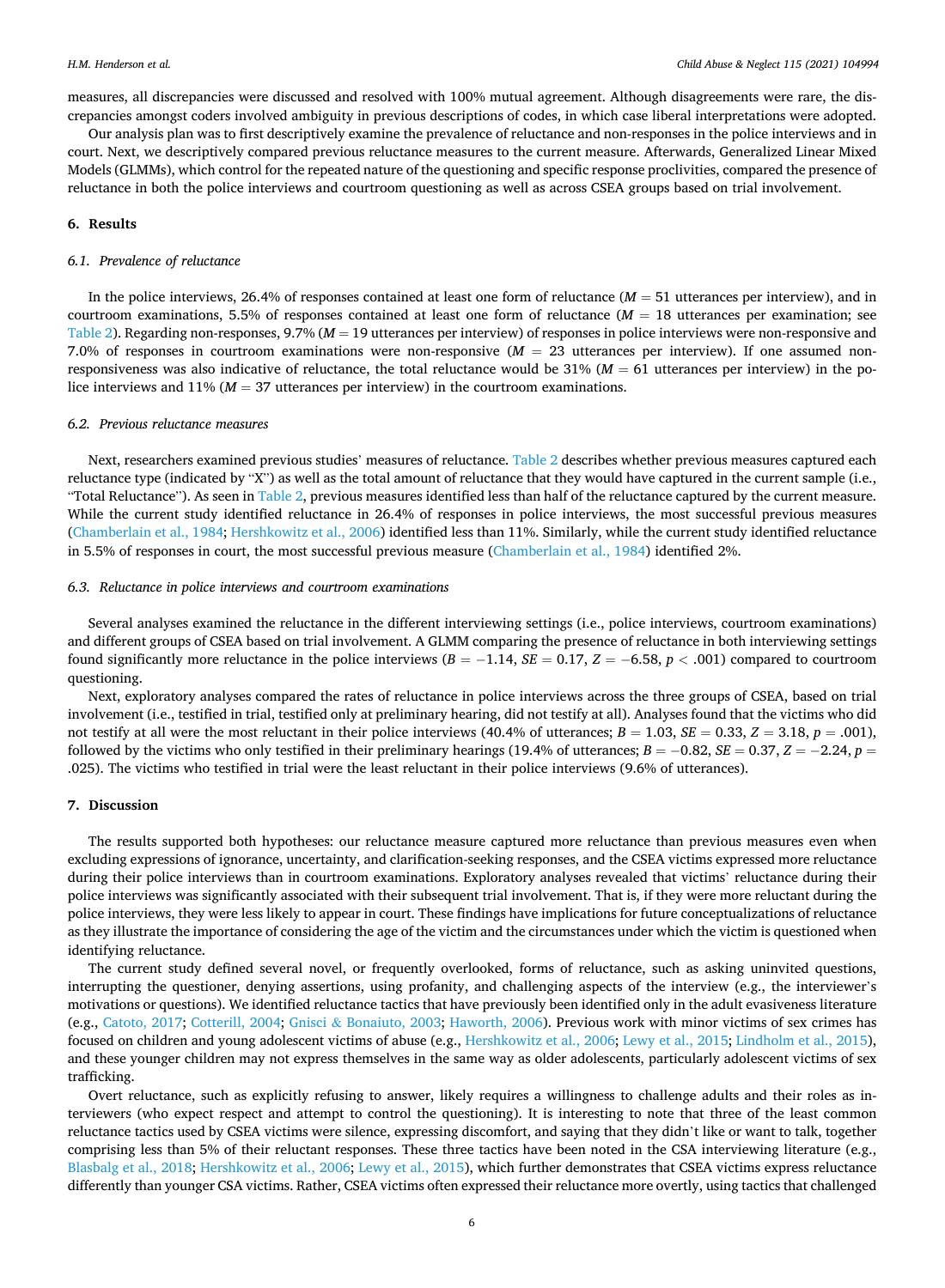measures, all discrepancies were discussed and resolved with 100% mutual agreement. Although disagreements were rare, the discrepancies amongst coders involved ambiguity in previous descriptions of codes, in which case liberal interpretations were adopted.

Our analysis plan was to first descriptively examine the prevalence of reluctance and non-responses in the police interviews and in court. Next, we descriptively compared previous reluctance measures to the current measure. Afterwards, Generalized Linear Mixed Models (GLMMs), which control for the repeated nature of the questioning and specific response proclivities, compared the presence of reluctance in both the police interviews and courtroom questioning as well as across CSEA groups based on trial involvement.

#### **6. Results**

#### *6.1. Prevalence of reluctance*

In the police interviews, 26.4% of responses contained at least one form of reluctance  $(M = 51$  utterances per interview), and in courtroom examinations, 5.5% of responses contained at least one form of reluctance  $(M = 18$  utterances per examination; see [Table 2\)](#page-5-0). Regarding non-responses, 9.7% (*M* = 19 utterances per interview) of responses in police interviews were non-responsive and 7.0% of responses in courtroom examinations were non-responsive (*M* = 23 utterances per interview). If one assumed nonresponsiveness was also indicative of reluctance, the total reluctance would be  $31\%$  ( $M = 61$  utterances per interview) in the police interviews and 11% ( $M = 37$  utterances per interview) in the courtroom examinations.

#### *6.2. Previous reluctance measures*

Next, researchers examined previous studies' measures of reluctance. [Table 2](#page-5-0) describes whether previous measures captured each reluctance type (indicated by "X") as well as the total amount of reluctance that they would have captured in the current sample (i.e., "Total Reluctance"). As seen in [Table 2,](#page-5-0) previous measures identified less than half of the reluctance captured by the current measure. While the current study identified reluctance in 26.4% of responses in police interviews, the most successful previous measures [\(Chamberlain et al., 1984;](#page-8-0) [Hershkowitz et al., 2006](#page-9-0)) identified less than 11%. Similarly, while the current study identified reluctance in 5.5% of responses in court, the most successful previous measure [\(Chamberlain et al., 1984](#page-8-0)) identified 2%.

#### *6.3. Reluctance in police interviews and courtroom examinations*

Several analyses examined the reluctance in the different interviewing settings (i.e., police interviews, courtroom examinations) and different groups of CSEA based on trial involvement. A GLMM comparing the presence of reluctance in both interviewing settings found significantly more reluctance in the police interviews  $(B = -1.14, SE = 0.17, Z = -6.58, p < .001)$  compared to courtroom questioning.

Next, exploratory analyses compared the rates of reluctance in police interviews across the three groups of CSEA, based on trial involvement (i.e., testified in trial, testified only at preliminary hearing, did not testify at all). Analyses found that the victims who did not testify at all were the most reluctant in their police interviews (40.4% of utterances;  $B = 1.03$ ,  $SE = 0.33$ ,  $Z = 3.18$ ,  $p = .001$ ), followed by the victims who only testified in their preliminary hearings (19.4% of utterances;  $B = -0.82$ ,  $SE = 0.37$ ,  $Z = -2.24$ ,  $p =$ .025). The victims who testified in trial were the least reluctant in their police interviews (9.6% of utterances).

#### **7. Discussion**

The results supported both hypotheses: our reluctance measure captured more reluctance than previous measures even when excluding expressions of ignorance, uncertainty, and clarification-seeking responses, and the CSEA victims expressed more reluctance during their police interviews than in courtroom examinations. Exploratory analyses revealed that victims' reluctance during their police interviews was significantly associated with their subsequent trial involvement. That is, if they were more reluctant during the police interviews, they were less likely to appear in court. These findings have implications for future conceptualizations of reluctance as they illustrate the importance of considering the age of the victim and the circumstances under which the victim is questioned when identifying reluctance.

The current study defined several novel, or frequently overlooked, forms of reluctance, such as asking uninvited questions, interrupting the questioner, denying assertions, using profanity, and challenging aspects of the interview (e.g., the interviewer's motivations or questions). We identified reluctance tactics that have previously been identified only in the adult evasiveness literature (e.g., [Catoto, 2017](#page-8-0); [Cotterill, 2004;](#page-8-0) Gnisci & [Bonaiuto, 2003](#page-9-0); [Haworth, 2006\)](#page-9-0). Previous work with minor victims of sex crimes has focused on children and young adolescent victims of abuse (e.g., [Hershkowitz et al., 2006; Lewy et al., 2015; Lindholm et al., 2015](#page-9-0)), and these younger children may not express themselves in the same way as older adolescents, particularly adolescent victims of sex trafficking.

Overt reluctance, such as explicitly refusing to answer, likely requires a willingness to challenge adults and their roles as interviewers (who expect respect and attempt to control the questioning). It is interesting to note that three of the least common reluctance tactics used by CSEA victims were silence, expressing discomfort, and saying that they didn't like or want to talk, together comprising less than 5% of their reluctant responses. These three tactics have been noted in the CSA interviewing literature (e.g., [Blasbalg et al., 2018;](#page-8-0) [Hershkowitz et al., 2006](#page-9-0); [Lewy et al., 2015\)](#page-9-0), which further demonstrates that CSEA victims express reluctance differently than younger CSA victims. Rather, CSEA victims often expressed their reluctance more overtly, using tactics that challenged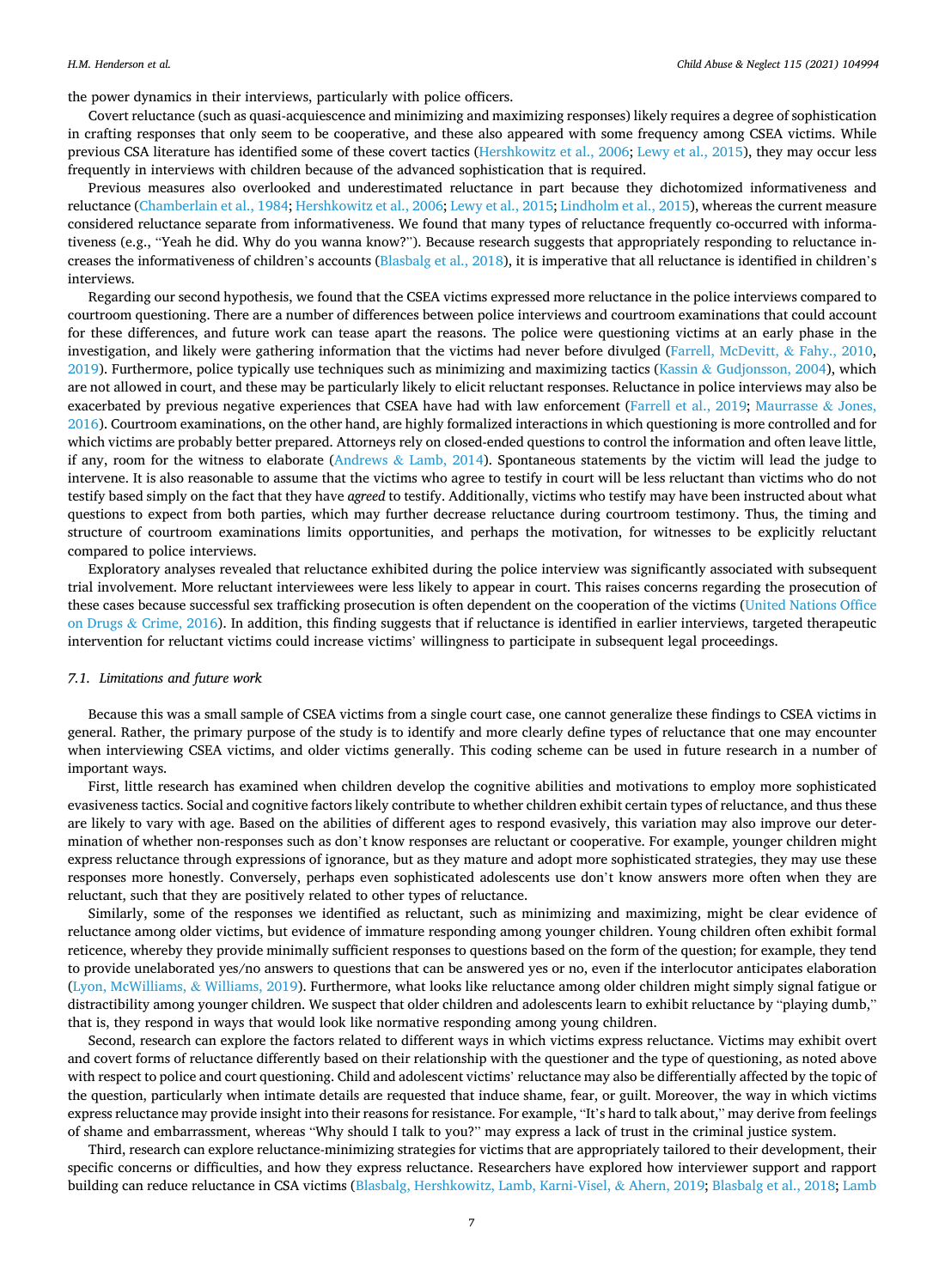the power dynamics in their interviews, particularly with police officers.

Covert reluctance (such as quasi-acquiescence and minimizing and maximizing responses) likely requires a degree of sophistication in crafting responses that only seem to be cooperative, and these also appeared with some frequency among CSEA victims. While previous CSA literature has identified some of these covert tactics [\(Hershkowitz et al., 2006; Lewy et al., 2015](#page-9-0)), they may occur less frequently in interviews with children because of the advanced sophistication that is required.

Previous measures also overlooked and underestimated reluctance in part because they dichotomized informativeness and reluctance [\(Chamberlain et al., 1984](#page-8-0); [Hershkowitz et al., 2006; Lewy et al., 2015](#page-9-0); [Lindholm et al., 2015\)](#page-9-0), whereas the current measure considered reluctance separate from informativeness. We found that many types of reluctance frequently co-occurred with informativeness (e.g., "Yeah he did. Why do you wanna know?"). Because research suggests that appropriately responding to reluctance increases the informativeness of children's accounts ([Blasbalg et al., 2018](#page-8-0)), it is imperative that all reluctance is identified in children's interviews.

Regarding our second hypothesis, we found that the CSEA victims expressed more reluctance in the police interviews compared to courtroom questioning. There are a number of differences between police interviews and courtroom examinations that could account for these differences, and future work can tease apart the reasons. The police were questioning victims at an early phase in the investigation, and likely were gathering information that the victims had never before divulged ([Farrell, McDevitt,](#page-8-0) & Fahy., 2010,  $2019$ ). Furthermore, police typically use techniques such as minimizing and maximizing tactics (Kassin & [Gudjonsson, 2004](#page-9-0)), which are not allowed in court, and these may be particularly likely to elicit reluctant responses. Reluctance in police interviews may also be exacerbated by previous negative experiences that CSEA have had with law enforcement [\(Farrell et al., 2019](#page-8-0); [Maurrasse](#page-9-0) & Jones, [2016\)](#page-9-0). Courtroom examinations, on the other hand, are highly formalized interactions in which questioning is more controlled and for which victims are probably better prepared. Attorneys rely on closed-ended questions to control the information and often leave little, if any, room for the witness to elaborate (Andrews  $\&$  [Lamb, 2014\)](#page-8-0). Spontaneous statements by the victim will lead the judge to intervene. It is also reasonable to assume that the victims who agree to testify in court will be less reluctant than victims who do not testify based simply on the fact that they have *agreed* to testify. Additionally, victims who testify may have been instructed about what questions to expect from both parties, which may further decrease reluctance during courtroom testimony. Thus, the timing and structure of courtroom examinations limits opportunities, and perhaps the motivation, for witnesses to be explicitly reluctant compared to police interviews.

Exploratory analyses revealed that reluctance exhibited during the police interview was significantly associated with subsequent trial involvement. More reluctant interviewees were less likely to appear in court. This raises concerns regarding the prosecution of these cases because successful sex trafficking prosecution is often dependent on the cooperation of the victims [\(United Nations Office](#page-9-0) on Drugs & [Crime, 2016\)](#page-9-0). In addition, this finding suggests that if reluctance is identified in earlier interviews, targeted therapeutic intervention for reluctant victims could increase victims' willingness to participate in subsequent legal proceedings.

#### *7.1. Limitations and future work*

Because this was a small sample of CSEA victims from a single court case, one cannot generalize these findings to CSEA victims in general. Rather, the primary purpose of the study is to identify and more clearly define types of reluctance that one may encounter when interviewing CSEA victims, and older victims generally. This coding scheme can be used in future research in a number of important ways.

First, little research has examined when children develop the cognitive abilities and motivations to employ more sophisticated evasiveness tactics. Social and cognitive factors likely contribute to whether children exhibit certain types of reluctance, and thus these are likely to vary with age. Based on the abilities of different ages to respond evasively, this variation may also improve our determination of whether non-responses such as don't know responses are reluctant or cooperative. For example, younger children might express reluctance through expressions of ignorance, but as they mature and adopt more sophisticated strategies, they may use these responses more honestly. Conversely, perhaps even sophisticated adolescents use don't know answers more often when they are reluctant, such that they are positively related to other types of reluctance.

Similarly, some of the responses we identified as reluctant, such as minimizing and maximizing, might be clear evidence of reluctance among older victims, but evidence of immature responding among younger children. Young children often exhibit formal reticence, whereby they provide minimally sufficient responses to questions based on the form of the question; for example, they tend to provide unelaborated yes/no answers to questions that can be answered yes or no, even if the interlocutor anticipates elaboration [\(Lyon, McWilliams,](#page-9-0) & Williams, 2019). Furthermore, what looks like reluctance among older children might simply signal fatigue or distractibility among younger children. We suspect that older children and adolescents learn to exhibit reluctance by "playing dumb," that is, they respond in ways that would look like normative responding among young children.

Second, research can explore the factors related to different ways in which victims express reluctance. Victims may exhibit overt and covert forms of reluctance differently based on their relationship with the questioner and the type of questioning, as noted above with respect to police and court questioning. Child and adolescent victims' reluctance may also be differentially affected by the topic of the question, particularly when intimate details are requested that induce shame, fear, or guilt. Moreover, the way in which victims express reluctance may provide insight into their reasons for resistance. For example, "It's hard to talk about," may derive from feelings of shame and embarrassment, whereas "Why should I talk to you?" may express a lack of trust in the criminal justice system.

Third, research can explore reluctance-minimizing strategies for victims that are appropriately tailored to their development, their specific concerns or difficulties, and how they express reluctance. Researchers have explored how interviewer support and rapport building can reduce reluctance in CSA victims ([Blasbalg, Hershkowitz, Lamb, Karni-Visel,](#page-8-0) & Ahern, 2019; [Blasbalg et al., 2018](#page-8-0); [Lamb](#page-9-0)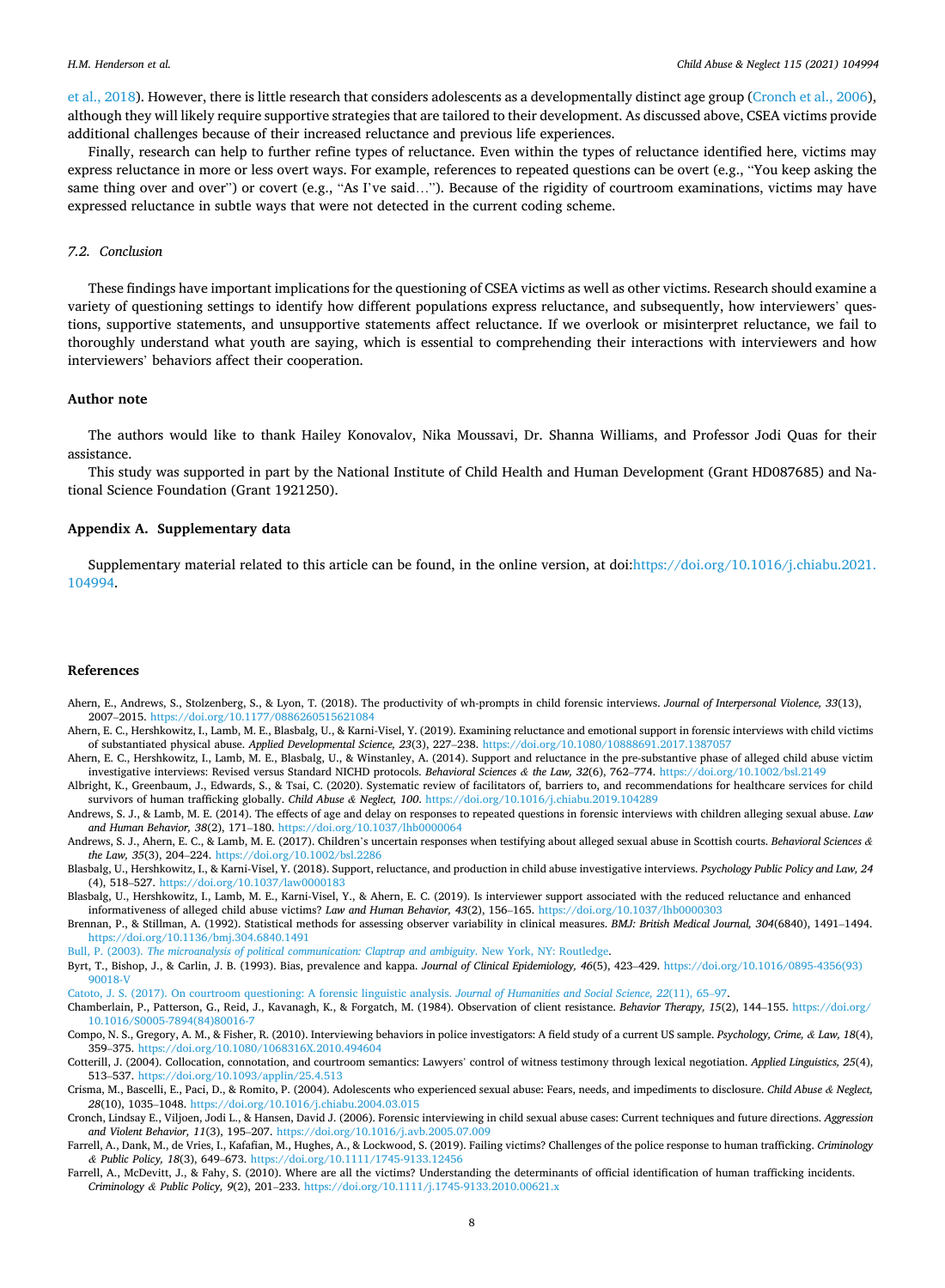<span id="page-8-0"></span>[et al., 2018](#page-9-0)). However, there is little research that considers adolescents as a developmentally distinct age group (Cronch et al., 2006), although they will likely require supportive strategies that are tailored to their development. As discussed above, CSEA victims provide additional challenges because of their increased reluctance and previous life experiences.

Finally, research can help to further refine types of reluctance. Even within the types of reluctance identified here, victims may express reluctance in more or less overt ways. For example, references to repeated questions can be overt (e.g., "You keep asking the same thing over and over") or covert (e.g., "As I've said..."). Because of the rigidity of courtroom examinations, victims may have expressed reluctance in subtle ways that were not detected in the current coding scheme.

#### *7.2. Conclusion*

These findings have important implications for the questioning of CSEA victims as well as other victims. Research should examine a variety of questioning settings to identify how different populations express reluctance, and subsequently, how interviewers' questions, supportive statements, and unsupportive statements affect reluctance. If we overlook or misinterpret reluctance, we fail to thoroughly understand what youth are saying, which is essential to comprehending their interactions with interviewers and how interviewers' behaviors affect their cooperation.

#### **Author note**

The authors would like to thank Hailey Konovalov, Nika Moussavi, Dr. Shanna Williams, and Professor Jodi Quas for their assistance.

This study was supported in part by the National Institute of Child Health and Human Development (Grant HD087685) and National Science Foundation (Grant 1921250).

#### **Appendix A. Supplementary data**

Supplementary material related to this article can be found, in the online version, at doi:[https://doi.org/10.1016/j.chiabu.2021.](https://doi.org/10.1016/j.chiabu.2021.104994) [104994.](https://doi.org/10.1016/j.chiabu.2021.104994)

#### **References**

- Ahern, E., Andrews, S., Stolzenberg, S., & Lyon, T. (2018). The productivity of wh-prompts in child forensic interviews. *Journal of Interpersonal Violence, 33*(13), 2007–2015. <https://doi.org/10.1177/0886260515621084>
- Ahern, E. C., Hershkowitz, I., Lamb, M. E., Blasbalg, U., & Karni-Visel, Y. (2019). Examining reluctance and emotional support in forensic interviews with child victims of substantiated physical abuse. *Applied Developmental Science, 23*(3), 227–238. <https://doi.org/10.1080/10888691.2017.1387057>
- Ahern, E. C., Hershkowitz, I., Lamb, M. E., Blasbalg, U., & Winstanley, A. (2014). Support and reluctance in the pre-substantive phase of alleged child abuse victim investigative interviews: Revised versus Standard NICHD protocols. *Behavioral Sciences & the Law, 32*(6), 762–774. <https://doi.org/10.1002/bsl.2149>
- Albright, K., Greenbaum, J., Edwards, S., & Tsai, C. (2020). Systematic review of facilitators of, barriers to, and recommendations for healthcare services for child survivors of human trafficking globally. *Child Abuse & Neglect, 100*.<https://doi.org/10.1016/j.chiabu.2019.104289>
- Andrews, S. J., & Lamb, M. E. (2014). The effects of age and delay on responses to repeated questions in forensic interviews with children alleging sexual abuse. *Law and Human Behavior, 38*(2), 171–180.<https://doi.org/10.1037/lhb0000064>
- Andrews, S. J., Ahern, E. C., & Lamb, M. E. (2017). Children's uncertain responses when testifying about alleged sexual abuse in Scottish courts. *Behavioral Sciences & the Law, 35*(3), 204–224. <https://doi.org/10.1002/bsl.2286>
- Blasbalg, U., Hershkowitz, I., & Karni-Visel, Y. (2018). Support, reluctance, and production in child abuse investigative interviews. *Psychology Public Policy and Law, 24*  (4), 518–527. <https://doi.org/10.1037/law0000183>
- Blasbalg, U., Hershkowitz, I., Lamb, M. E., Karni-Visel, Y., & Ahern, E. C. (2019). Is interviewer support associated with the reduced reluctance and enhanced informativeness of alleged child abuse victims? *Law and Human Behavior, 43*(2), 156–165.<https://doi.org/10.1037/lhb0000303>
- Brennan, P., & Stillman, A. (1992). Statistical methods for assessing observer variability in clinical measures. *BMJ: British Medical Journal, 304*(6840), 1491–1494. <https://doi.org/10.1136/bmj.304.6840.1491>

Bull, P. (2003). *[The microanalysis of political communication: Claptrap and ambiguity](http://refhub.elsevier.com/S0145-2134(21)00067-3/sbref0050)*. New York, NY: Routledge.

Byrt, T., Bishop, J., & Carlin, J. B. (1993). Bias, prevalence and kappa. *Journal of Clinical Epidemiology, 46*(5), 423–429. [https://doi.org/10.1016/0895-4356\(93\)](https://doi.org/10.1016/0895-4356(93)90018-V) [90018-V](https://doi.org/10.1016/0895-4356(93)90018-V)

[Catoto, J. S. \(2017\). On courtroom questioning: A forensic linguistic analysis.](http://refhub.elsevier.com/S0145-2134(21)00067-3/sbref0060) *Journal of Humanities and Social Science, 22*(11), 65–97.

Chamberlain, P., Patterson, G., Reid, J., Kavanagh, K., & Forgatch, M. (1984). Observation of client resistance. *Behavior Therapy, 15*(2), 144–155. [https://doi.org/](https://doi.org/10.1016/S0005-7894(84)80016-7) [10.1016/S0005-7894\(84\)80016-7](https://doi.org/10.1016/S0005-7894(84)80016-7)

Compo, N. S., Gregory, A. M., & Fisher, R. (2010). Interviewing behaviors in police investigators: A field study of a current US sample. *Psychology, Crime, & Law, 18*(4), 359–375. <https://doi.org/10.1080/1068316X.2010.494604>

- Cotterill, J. (2004). Collocation, connotation, and courtroom semantics: Lawyers' control of witness testimony through lexical negotiation. *Applied Linguistics, 25*(4), 513–537. <https://doi.org/10.1093/applin/25.4.513>
- Crisma, M., Bascelli, E., Paci, D., & Romito, P. (2004). Adolescents who experienced sexual abuse: Fears, needs, and impediments to disclosure. *Child Abuse & Neglect, 28*(10), 1035–1048. <https://doi.org/10.1016/j.chiabu.2004.03.015>
- Cronch, Lindsay E., Viljoen, Jodi L., & Hansen, David J. (2006). Forensic interviewing in child sexual abuse cases: Current techniques and future directions. *Aggression and Violent Behavior, 11*(3), 195–207. <https://doi.org/10.1016/j.avb.2005.07.009>
- Farrell, A., Dank, M., de Vries, I., Kafafian, M., Hughes, A., & Lockwood, S. (2019). Failing victims? Challenges of the police response to human trafficking. *Criminology & Public Policy, 18*(3), 649–673. <https://doi.org/10.1111/1745-9133.12456>
- Farrell, A., McDevitt, J., & Fahy, S. (2010). Where are all the victims? Understanding the determinants of official identification of human trafficking incidents. *Criminology & Public Policy, 9*(2), 201–233.<https://doi.org/10.1111/j.1745-9133.2010.00621.x>